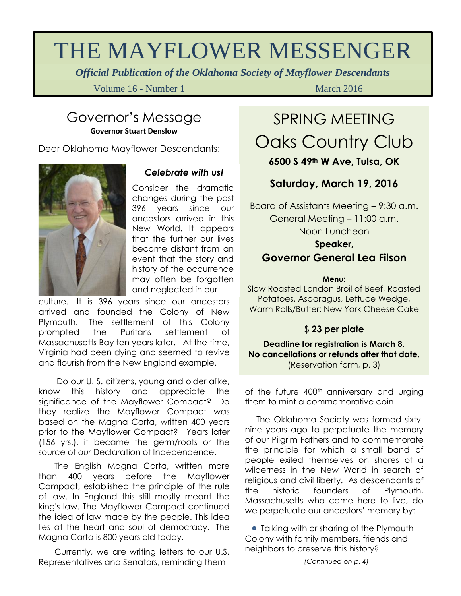# THE MAYFLOWER MESSENGER

*Official Publication of the Oklahoma Society of Mayflower Descendants*

Volume 16 - Number 1 March 2016

### Governor's Message **Governor Stuart Denslow**

Dear Oklahoma Mayflower Descendants:



#### *Celebrate with us!*

Consider the dramatic changes during the past 396 years since our ancestors arrived in this New World. It appears that the further our lives become distant from an event that the story and history of the occurrence may often be forgotten and neglected in our

culture. It is 396 years since our ancestors arrived and founded the Colony of New Plymouth. The settlement of this Colony prompted the Puritans settlement of Massachusetts Bay ten years later. At the time, Virginia had been dying and seemed to revive and flourish from the New England example.

 Do our U. S. citizens, young and older alike, know this history and appreciate the significance of the Mayflower Compact? Do they realize the Mayflower Compact was based on the Magna Carta, written 400 years prior to the Mayflower Compact? Years later (156 yrs.), it became the germ/roots or the source of our Declaration of Independence.

 The English Magna Carta, written more than 400 years before the Mayflower Compact, established the principle of the rule of law. In England this still mostly meant the king's law. The Mayflower Compact continued the idea of law made by the people. This idea lies at the heart and soul of democracy. The Magna Carta is 800 years old today.

 Currently, we are writing letters to our U.S. Representatives and Senators, reminding them

# SPRING MEETING Oaks Country Club

#### **6500 S 49th W Ave, Tulsa, OK**

### **Saturday, March 19, 2016**

Board of Assistants Meeting – 9:30 a.m. General Meeting – 11:00 a.m. Noon Luncheon **Speaker,**

### **Governor General Lea Filson**

#### **Menu**:

Slow Roasted London Broil of Beef, Roasted Potatoes, Asparagus, Lettuce Wedge, Warm Rolls/Butter; New York Cheese Cake

#### \$ **23 per plate**

**Deadline for registration is March 8. No cancellations or refunds after that date.** (Reservation form, p. 3)

of the future 400<sup>th</sup> anniversary and urging them to mint a commemorative coin.

 The Oklahoma Society was formed sixtynine years ago to perpetuate the memory of our Pilgrim Fathers and to commemorate the principle for which a small band of people exiled themselves on shores of a wilderness in the New World in search of religious and civil liberty. As descendants of the historic founders of Plymouth, Massachusetts who came here to live, do we perpetuate our ancestors' memory by:

**•** Talking with or sharing of the Plymouth Colony with family members, friends and neighbors to preserve this history?

*(Continued on p. 4)*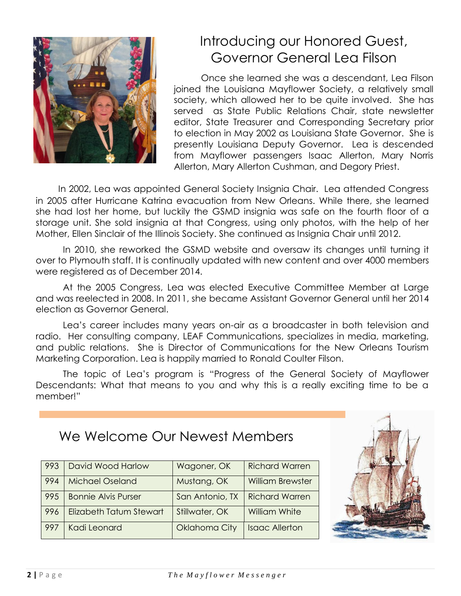

## Introducing our Honored Guest, Governor General Lea Filson

Once she learned she was a descendant, Lea Filson joined the Louisiana Mayflower Society, a relatively small society, which allowed her to be quite involved. She has served as State Public Relations Chair, state newsletter editor, State Treasurer and Corresponding Secretary prior to election in May 2002 as Louisiana State Governor. She is presently Louisiana Deputy Governor. Lea is descended from Mayflower passengers Isaac Allerton, Mary Norris Allerton, Mary Allerton Cushman, and Degory Priest.

 In 2002, Lea was appointed General Society Insignia Chair. Lea attended Congress in 2005 after Hurricane Katrina evacuation from New Orleans. While there, she learned she had lost her home, but luckily the GSMD insignia was safe on the fourth floor of a storage unit. She sold insignia at that Congress, using only photos, with the help of her Mother, Ellen Sinclair of the Illinois Society. She continued as Insignia Chair until 2012.

In 2010, she reworked the GSMD website and oversaw its changes until turning it over to Plymouth staff. It is continually updated with new content and over 4000 members were registered as of December 2014.

At the 2005 Congress, Lea was elected Executive Committee Member at Large and was reelected in 2008. In 2011, she became Assistant Governor General until her 2014 election as Governor General.

Lea's career includes many years on-air as a broadcaster in both television and radio. Her consulting company, LEAF Communications, specializes in media, marketing, and public relations. She is Director of Communications for the New Orleans Tourism Marketing Corporation. Lea is happily married to Ronald Coulter Filson.

The topic of Lea's program is "Progress of the General Society of Mayflower Descendants: What that means to you and why this is a really exciting time to be a member!"

We Welcome Our Newest Members

| 993 | David Wood Harlow          | Wagoner, OK     | <b>Richard Warren</b>   |
|-----|----------------------------|-----------------|-------------------------|
| 994 | <b>Michael Oseland</b>     | Mustang, OK     | <b>William Brewster</b> |
| 995 | <b>Bonnie Alvis Purser</b> | San Antonio, TX | <b>Richard Warren</b>   |
| 996 | Elizabeth Tatum Stewart    | Stillwater, OK  | <b>William White</b>    |
| 997 | Kadi Leonard               | Oklahoma City   | <b>Isaac Allerton</b>   |

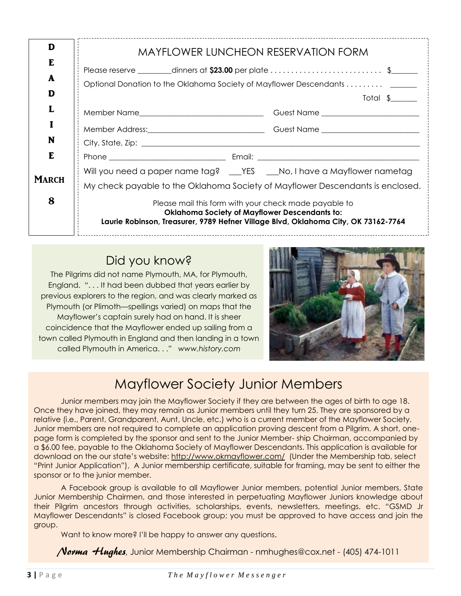| <b>MAYFLOWER LUNCHEON RESERVATION FORM</b>                                                                                                                                                          |  |  |
|-----------------------------------------------------------------------------------------------------------------------------------------------------------------------------------------------------|--|--|
|                                                                                                                                                                                                     |  |  |
| Optional Donation to the Oklahoma Society of Mayflower Descendants                                                                                                                                  |  |  |
| Total $\frac{1}{2}$                                                                                                                                                                                 |  |  |
|                                                                                                                                                                                                     |  |  |
|                                                                                                                                                                                                     |  |  |
|                                                                                                                                                                                                     |  |  |
|                                                                                                                                                                                                     |  |  |
| Will you need a paper name tag? ___ YES ___ No, I have a Mayflower nametag                                                                                                                          |  |  |
| My check payable to the Oklahoma Society of Mayflower Descendants is enclosed.                                                                                                                      |  |  |
| Please mail this form with your check made payable to<br><b>Oklahoma Society of Mayflower Descendants to:</b><br>Laurie Robinson, Treasurer, 9789 Hefner Village Blvd, Oklahoma City, OK 73162-7764 |  |  |
|                                                                                                                                                                                                     |  |  |

### Did you know?

The Pilgrims did not name Plymouth, MA, for Plymouth, England. ". . . It had been dubbed that years earlier by previous explorers to the region, and was clearly marked as Plymouth (or Plimoth—spellings varied) on maps that the Mayflower's captain surely had on hand. It is sheer coincidence that the Mayflower ended up sailing from a town called Plymouth in England and then landing in a town called Plymouth in America. . ." *www.history.com*



## Mayflower Society Junior Members

Junior members may join the Mayflower Society if they are between the ages of birth to age 18. Once they have joined, they may remain as Junior members until they turn 25. They are sponsored by a relative (i.e., Parent, Grandparent, Aunt, Uncle, etc.) who is a current member of the Mayflower Society. Junior members are not required to complete an application proving descent from a Pilgrim. A short, onepage form is completed by the sponsor and sent to the Junior Member- ship Chairman, accompanied by a \$6.00 fee, payable to the Oklahoma Society of Mayflower Descendants. This application is available for download on the our state's website: http://www.okmayflower.com/ (Under the Membership tab, select "Print Junior Application"), A Junior membership certificate, suitable for framing, may be sent to either the sponsor or to the junior member.

A Facebook group is available to all Mayflower Junior members, potential Junior members, State Junior Membership Chairmen, and those interested in perpetuating Mayflower Juniors knowledge about their Pilgrim ancestors through activities, scholarships, events, newsletters, meetings, etc. "GSMD Jr Mayflower Descendants" is closed Facebook group; you must be approved to have access and join the group.

Want to know more? I'll be happy to answer any questions.

Norma Hughes, Junior Membership Chairman - [nmhughes@cox.net](mailto:nmhughes@cox.net) - (405) 474-1011